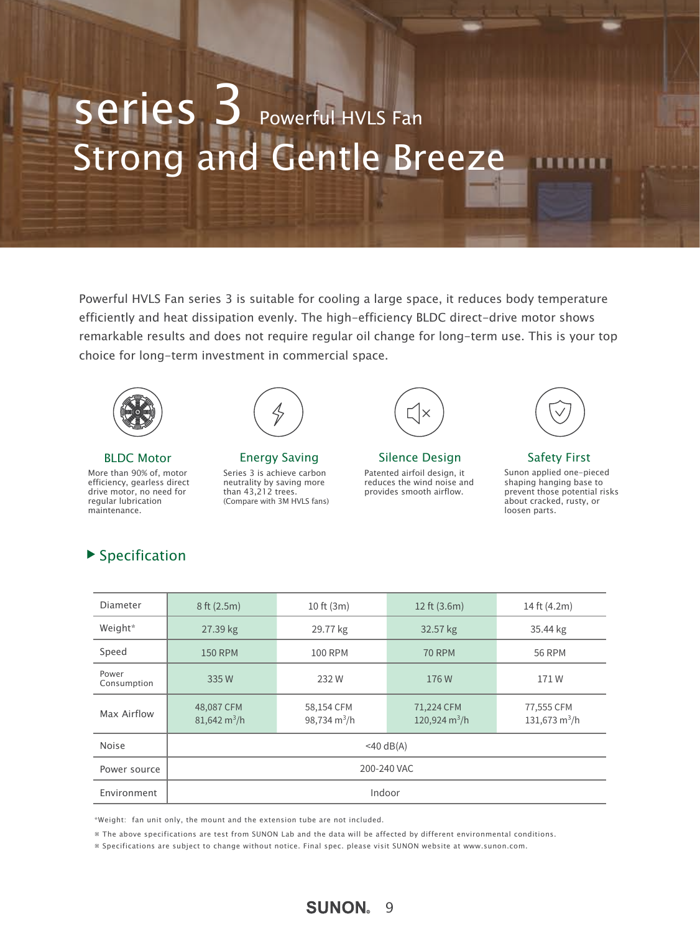# Strong and Gentle Breeze Series 3 Powerful HVLS Fan

Powerful HVLS Fan series 3 is suitable for cooling a large space, it reduces body temperature efficiently and heat dissipation evenly. The high-efficiency BLDC direct-drive motor shows remarkable results and does not require regular oil change for long-term use. This is your top choice for long-term investment in commercial space.



More than 90% of, motor efficiency, gearless direct drive motor, no need for regular lubrication maintenance.



Series 3 is achieve carbon neutrality by saving more than 43,212 trees. (Compare with 3M HVLS fans)



Patented airfoil design, it reduces the wind noise and provides smooth airflow. BLDC Motor **Energy Saving Silence Design** Safety First



Sunon applied one-pieced shaping hanging base to prevent those potential risks about cracked, rusty, or loosen parts.

| Diameter             | 8 ft (2.5m)                          | 10 ft (3m)                   | 12 ft (3.6m)                                | 14 ft (4.2m)                  |
|----------------------|--------------------------------------|------------------------------|---------------------------------------------|-------------------------------|
| Weight*              | 27.39 kg                             | 29.77 kg                     | 32.57 kg                                    | 35.44 kg                      |
| Speed                | <b>150 RPM</b>                       | <b>100 RPM</b>               | <b>70 RPM</b>                               | <b>56 RPM</b>                 |
| Power<br>Consumption | 335W                                 | 232W                         | 176W                                        | 171W                          |
| Max Airflow          | 48,087 CFM<br>$81,642 \text{ m}^3/h$ | 58,154 CFM<br>98,734 $m^3/h$ | 71,224 CFM<br>120,924 $\text{m}^3/\text{h}$ | 77,555 CFM<br>131,673 $m^3/h$ |
| <b>Noise</b>         | $<$ 40 dB(A)                         |                              |                                             |                               |
| Power source         | 200-240 VAC                          |                              |                                             |                               |
| Environment          | Indoor                               |                              |                                             |                               |

\*Weight: fan unit only, the mount and the extension tube are not included.

※ The above specifications are test from SUNON Lab and the data will be affected by different environmental conditions.

※ Specifications are subject to change without notice. Final spec. please visit SUNON website at www.sunon.com.

#### $\blacktriangleright$  Specification